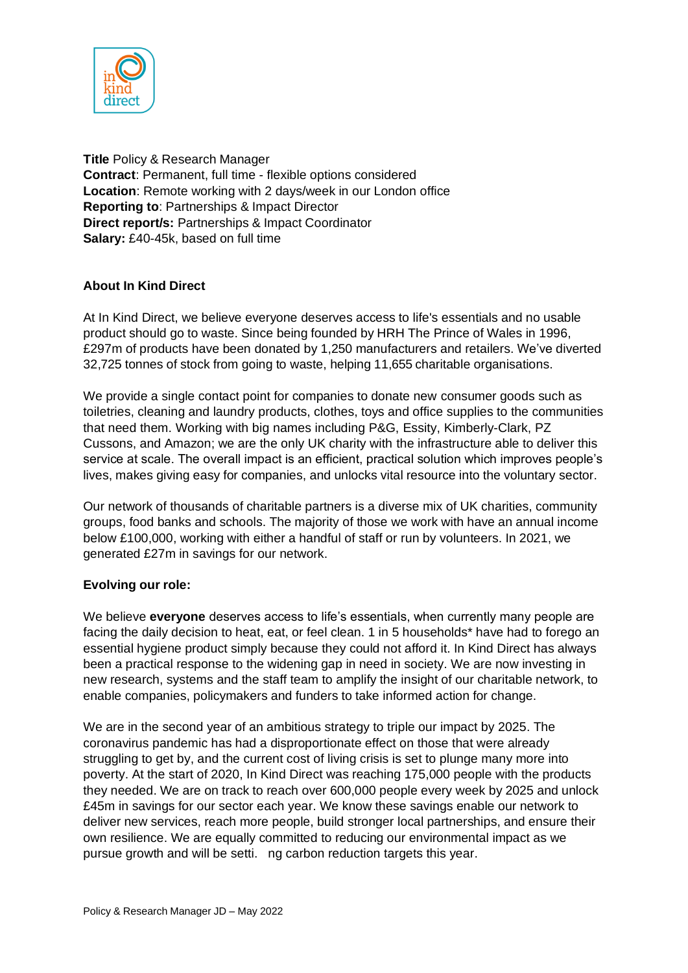

**Title** Policy & Research Manager **Contract**: Permanent, full time - flexible options considered **Location**: Remote working with 2 days/week in our London office **Reporting to**: Partnerships & Impact Director **Direct report/s:** Partnerships & Impact Coordinator **Salary:** £40-45k, based on full time

# **About In Kind Direct**

At In Kind Direct, we believe everyone deserves access to life's essentials and no usable product should go to waste. Since being founded by HRH The Prince of Wales in 1996, £297m of products have been donated by 1,250 manufacturers and retailers. We've diverted 32,725 tonnes of stock from going to waste, helping 11,655 charitable organisations.

We provide a single contact point for companies to donate new consumer goods such as toiletries, cleaning and laundry products, clothes, toys and office supplies to the communities that need them. Working with big names including P&G, Essity, Kimberly-Clark, PZ Cussons, and Amazon; we are the only UK charity with the infrastructure able to deliver this service at scale. The overall impact is an efficient, practical solution which improves people's lives, makes giving easy for companies, and unlocks vital resource into the voluntary sector.

Our network of thousands of charitable partners is a diverse mix of UK charities, community groups, food banks and schools. The majority of those we work with have an annual income below £100,000, working with either a handful of staff or run by volunteers. In 2021, we generated £27m in savings for our network.

### **Evolving our role:**

We believe **everyone** deserves access to life's essentials, when currently many people are facing the daily decision to heat, eat, or feel clean. 1 in 5 households\* have had to forego an essential hygiene product simply because they could not afford it. In Kind Direct has always been a practical response to the widening gap in need in society. We are now investing in new research, systems and the staff team to amplify the insight of our charitable network, to enable companies, policymakers and funders to take informed action for change.

We are in the second year of an ambitious strategy to triple our impact by 2025. The coronavirus pandemic has had a disproportionate effect on those that were already struggling to get by, and the current cost of living crisis is set to plunge many more into poverty. At the start of 2020, In Kind Direct was reaching 175,000 people with the products they needed. We are on track to reach over 600,000 people every week by 2025 and unlock £45m in savings for our sector each year. We know these savings enable our network to deliver new services, reach more people, build stronger local partnerships, and ensure their own resilience. We are equally committed to reducing our environmental impact as we pursue growth and will be setti. ng carbon reduction targets this year.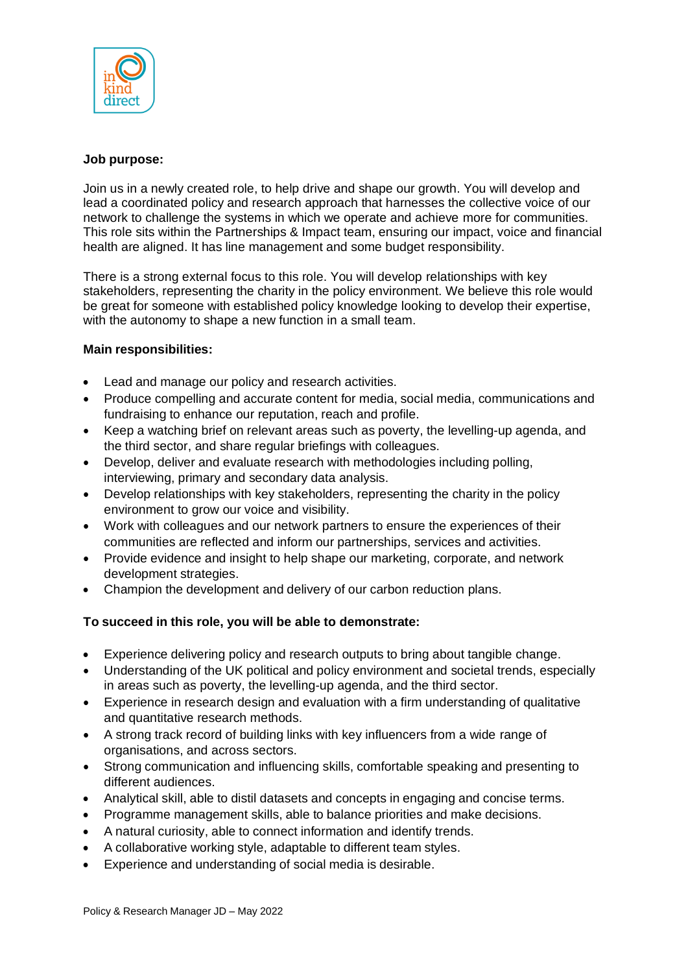

### **Job purpose:**

Join us in a newly created role, to help drive and shape our growth. You will develop and lead a coordinated policy and research approach that harnesses the collective voice of our network to challenge the systems in which we operate and achieve more for communities. This role sits within the Partnerships & Impact team, ensuring our impact, voice and financial health are aligned. It has line management and some budget responsibility.

There is a strong external focus to this role. You will develop relationships with key stakeholders, representing the charity in the policy environment. We believe this role would be great for someone with established policy knowledge looking to develop their expertise, with the autonomy to shape a new function in a small team.

### **Main responsibilities:**

- Lead and manage our policy and research activities.
- Produce compelling and accurate content for media, social media, communications and fundraising to enhance our reputation, reach and profile.
- Keep a watching brief on relevant areas such as poverty, the levelling-up agenda, and the third sector, and share regular briefings with colleagues.
- Develop, deliver and evaluate research with methodologies including polling, interviewing, primary and secondary data analysis.
- Develop relationships with key stakeholders, representing the charity in the policy environment to grow our voice and visibility.
- Work with colleagues and our network partners to ensure the experiences of their communities are reflected and inform our partnerships, services and activities.
- Provide evidence and insight to help shape our marketing, corporate, and network development strategies.
- Champion the development and delivery of our carbon reduction plans.

### **To succeed in this role, you will be able to demonstrate:**

- Experience delivering policy and research outputs to bring about tangible change.
- Understanding of the UK political and policy environment and societal trends, especially in areas such as poverty, the levelling-up agenda, and the third sector.
- Experience in research design and evaluation with a firm understanding of qualitative and quantitative research methods.
- A strong track record of building links with key influencers from a wide range of organisations, and across sectors.
- Strong communication and influencing skills, comfortable speaking and presenting to different audiences.
- Analytical skill, able to distil datasets and concepts in engaging and concise terms.
- Programme management skills, able to balance priorities and make decisions.
- A natural curiosity, able to connect information and identify trends.
- A collaborative working style, adaptable to different team styles.
- Experience and understanding of social media is desirable.